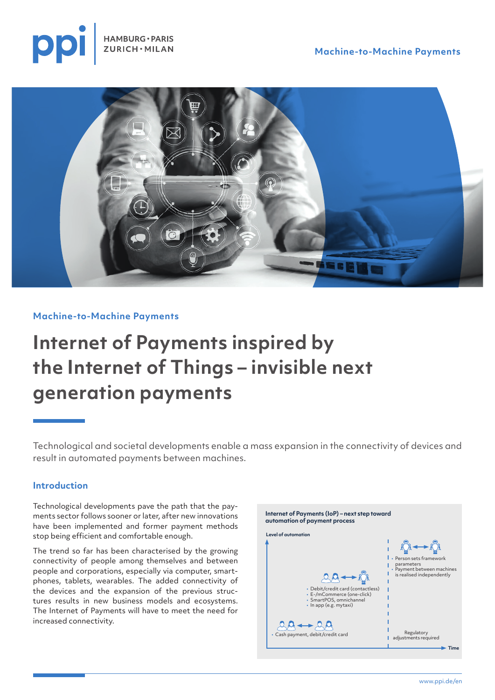





#### **Machine-to-Machine Payments**

# **Internet of Payments inspired by the Internet of Things – invisible next generation payments**

Technological and societal developments enable a mass expansion in the connectivity of devices and result in automated payments between machines.

#### **Introduction**

Technological developments pave the path that the payments sector follows sooner or later, after new innovations have been implemented and former payment methods stop being efficient and comfortable enough.

The trend so far has been characterised by the growing connectivity of people among themselves and between people and corporations, especially via computer, smartphones, tablets, wearables. The added connectivity of the devices and the expansion of the previous structures results in new business models and ecosystems. The Internet of Payments will have to meet the need for increased connectivity.

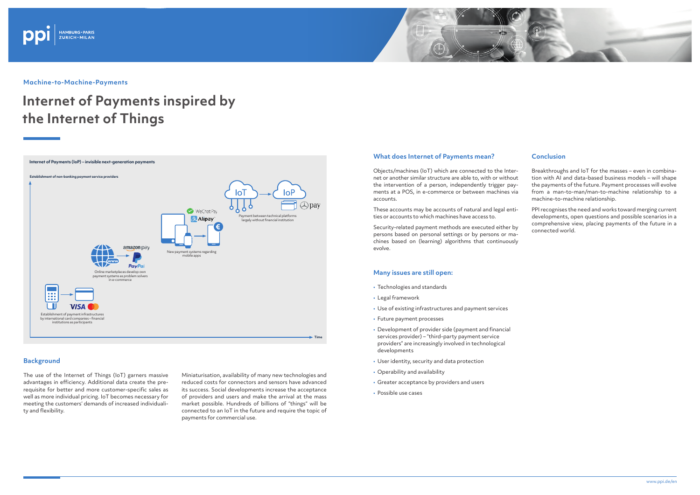### **What does Internet of Payments mean?**

Objects/machines (IoT) which are connected to the Internet or another similar structure are able to, with or without the intervention of a person, independently trigger payments at a POS, in e-commerce or between machines via accounts.

These accounts may be accounts of natural and legal entities or accounts to which machines have access to.

Security-related payment methods are executed either by persons based on personal settings or by persons or machines based on (learning) algorithms that continuously evolve.

### **Many issues are still open:**

- Technologies and standards
- Legal framework
- Use of existing infrastructures and payment services
- Future payment processes
- Development of provider side (payment and financial services provider) – "third-party payment service providers" are increasingly involved in technological developments
- User identity, security and data protection
- Operability and availability
- Greater acceptance by providers and users
- Possible use cases





**Machine-to-Machine-Payments**

# **Internet of Payments inspired by the Internet of Things**

#### **Background**

The use of the Internet of Things (IoT) garners massive advantages in efficiency. Additional data create the prerequisite for better and more customer-specific sales as well as more individual pricing. IoT becomes necessary for meeting the customers' demands of increased individuality and flexibility.

Miniaturisation, availability of many new technologies and reduced costs for connectors and sensors have advanced its success. Social developments increase the acceptance of providers and users and make the arrival at the mass market possible. Hundreds of billions of "things" will be connected to an IoT in the future and require the topic of payments for commercial use.

## **Conclusion**

Breakthroughs and IoT for the masses – even in combination with AI and data-based business models – will shape the payments of the future. Payment processes will evolve from a man-to-man/man-to-machine relationship to a machine-to-machine relationship.

PPI recognises the need and works toward merging current developments, open questions and possible scenarios in a comprehensive view, placing payments of the future in a connected world.